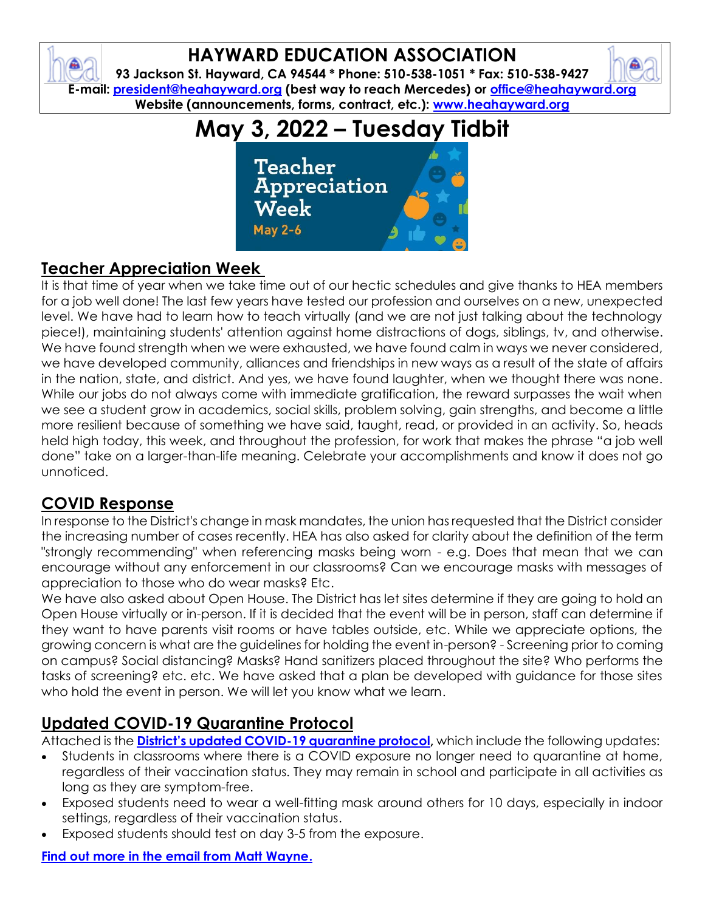## **HAYWARD EDUCATION ASSOCIATION**

**93 Jackson St. Hayward, CA 94544 \* Phone: 510-538-1051 \* Fax: 510-538-9427 E-mail: [president@heahayward.org](mailto:president@heahayward.org) (best way to reach Mercedes) or [office@heahayward.org](mailto:office@heahayward.org) Website (announcements, forms, contract, etc.): [www.heahayward.org](http://www.heahayward.org/)**

# **May 3, 2022 – Tuesday Tidbit**



## **Teacher Appreciation Week**

It is that time of year when we take time out of our hectic schedules and give thanks to HEA members for a job well done! The last few years have tested our profession and ourselves on a new, unexpected level. We have had to learn how to teach virtually (and we are not just talking about the technology piece!), maintaining students' attention against home distractions of dogs, siblings, tv, and otherwise. We have found strength when we were exhausted, we have found calm in ways we never considered, we have developed community, alliances and friendships in new ways as a result of the state of affairs in the nation, state, and district. And yes, we have found laughter, when we thought there was none. While our jobs do not always come with immediate gratification, the reward surpasses the wait when we see a student grow in academics, social skills, problem solving, gain strengths, and become a little more resilient because of something we have said, taught, read, or provided in an activity. So, heads held high today, this week, and throughout the profession, for work that makes the phrase "a job well done" take on a larger-than-life meaning. Celebrate your accomplishments and know it does not go unnoticed.

### **COVID Response**

In response to the District's change in mask mandates, the union has requested that the District consider the increasing number of cases recently. HEA has also asked for clarity about the definition of the term "strongly recommending" when referencing masks being worn - e.g. Does that mean that we can encourage without any enforcement in our classrooms? Can we encourage masks with messages of appreciation to those who do wear masks? Etc.

We have also asked about Open House. The District has let sites determine if they are going to hold an Open House virtually or in-person. If it is decided that the event will be in person, staff can determine if they want to have parents visit rooms or have tables outside, etc. While we appreciate options, the growing concern is what are the guidelines for holding the event in-person? - Screening prior to coming on campus? Social distancing? Masks? Hand sanitizers placed throughout the site? Who performs the tasks of screening? etc. etc. We have asked that a plan be developed with guidance for those sites who hold the event in person. We will let you know what we learn.

## **Updated COVID-19 Quarantine Protocol**

Attached is the **[District's updated COVID](https://docs.google.com/document/d/1nXA77zBmurFmlJioiOySc5tB26vzPoLZWZcJtYANFpQ/edit)-19 quarantine protocol,** which include the following updates:

- Students in classrooms where there is a COVID exposure no longer need to quarantine at home, regardless of their vaccination status. They may remain in school and participate in all activities as long as they are symptom-free.
- Exposed students need to wear a well-fitting mask around others for 10 days, especially in indoor settings, regardless of their vaccination status.
- Exposed students should test on day 3-5 from the exposure.

#### **[Find out more in the email from Matt Wayne.](https://drive.google.com/file/d/1VwySaTvYksaVzVYDC4saTJWZK_sEdGbX/view?usp=sharing)**